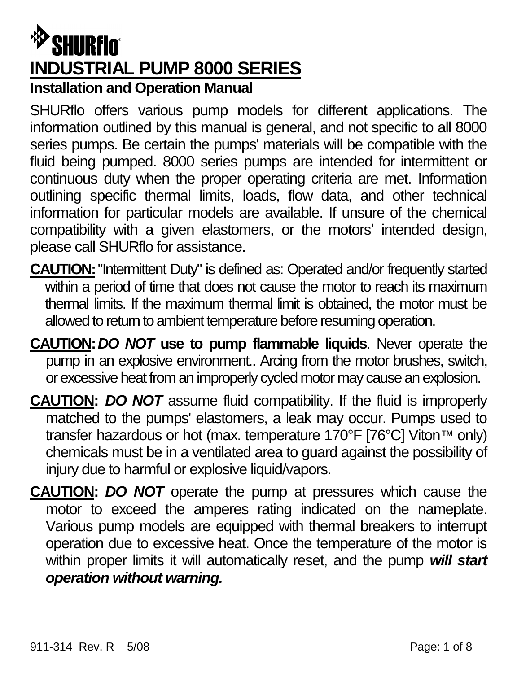# $^{\circledR}$ SHURflo $^{\circ}$ **INDUSTRIAL PUMP 8000 SERIES Installation and Operation Manual**

SHURflo offers various pump models for different applications. The information outlined by this manual is general, and not specific to all 8000 series pumps. Be certain the pumps' materials will be compatible with the fluid being pumped. 8000 series pumps are intended for intermittent or continuous duty when the proper operating criteria are met. Information outlining specific thermal limits, loads, flow data, and other technical information for particular models are available. If unsure of the chemical compatibility with a given elastomers, or the motors' intended design, please call SHURflo for assistance.

- **CAUTION:**"Intermittent Duty" is defined as: Operated and/or frequently started within a period of time that does not cause the motor to reach its maximum thermal limits. If the maximum thermal limit is obtained, the motor must be allowed to return to ambient temperature before resuming operation.
- **CAUTION:***DO NOT* **use to pump flammable liquids**. Never operate the pump in an explosive environment.. Arcing from the motor brushes, switch, or excessive heat from an improperly cycled motor may cause an explosion.
- **CAUTION:** *DO NOT* assume fluid compatibility. If the fluid is improperly matched to the pumps' elastomers, a leak may occur. Pumps used to transfer hazardous or hot (max. temperature 170°F [76°C] Viton™ only) chemicals must be in a ventilated area to guard against the possibility of injury due to harmful or explosive liquid/vapors.
- **CAUTION:** *DO NOT* operate the pump at pressures which cause the motor to exceed the amperes rating indicated on the nameplate. Various pump models are equipped with thermal breakers to interrupt operation due to excessive heat. Once the temperature of the motor is within proper limits it will automatically reset, and the pump *will start operation without warning.*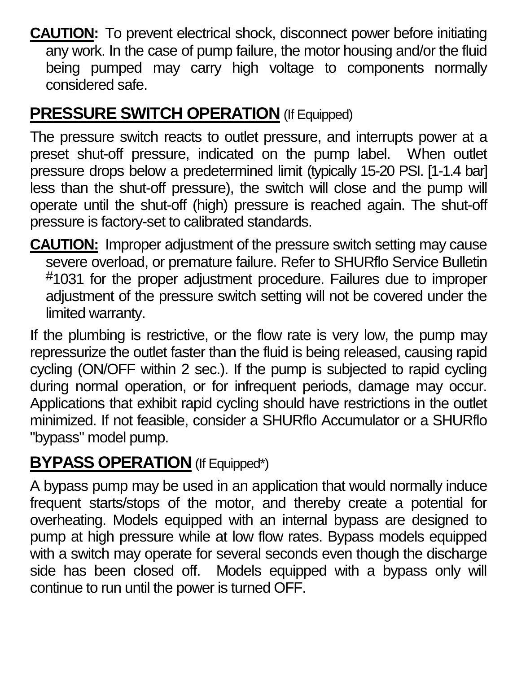**CAUTION:** To prevent electrical shock, disconnect power before initiating any work. In the case of pump failure, the motor housing and/or the fluid being pumped may carry high voltage to components normally considered safe.

### **PRESSURE SWITCH OPERATION** (If Equipped)

The pressure switch reacts to outlet pressure, and interrupts power at a preset shut-off pressure, indicated on the pump label. When outlet pressure drops below a predetermined limit (typically 15-20 PSI. [1-1.4 bar] less than the shut-off pressure), the switch will close and the pump will operate until the shut-off (high) pressure is reached again. The shut-off pressure is factory-set to calibrated standards.

**CAUTION:** Improper adjustment of the pressure switch setting may cause severe overload, or premature failure. Refer to SHURflo Service Bulletin #1031 for the proper adjustment procedure. Failures due to improper adjustment of the pressure switch setting will not be covered under the limited warranty.

If the plumbing is restrictive, or the flow rate is very low, the pump may repressurize the outlet faster than the fluid is being released, causing rapid cycling (ON/OFF within 2 sec.). If the pump is subjected to rapid cycling during normal operation, or for infrequent periods, damage may occur. Applications that exhibit rapid cycling should have restrictions in the outlet minimized. If not feasible, consider a SHURflo Accumulator or a SHURflo "bypass" model pump.

### **BYPASS OPERATION** (If Equipped\*)

A bypass pump may be used in an application that would normally induce frequent starts/stops of the motor, and thereby create a potential for overheating. Models equipped with an internal bypass are designed to pump at high pressure while at low flow rates. Bypass models equipped with a switch may operate for several seconds even though the discharge side has been closed off. Models equipped with a bypass only will continue to run until the power is turned OFF.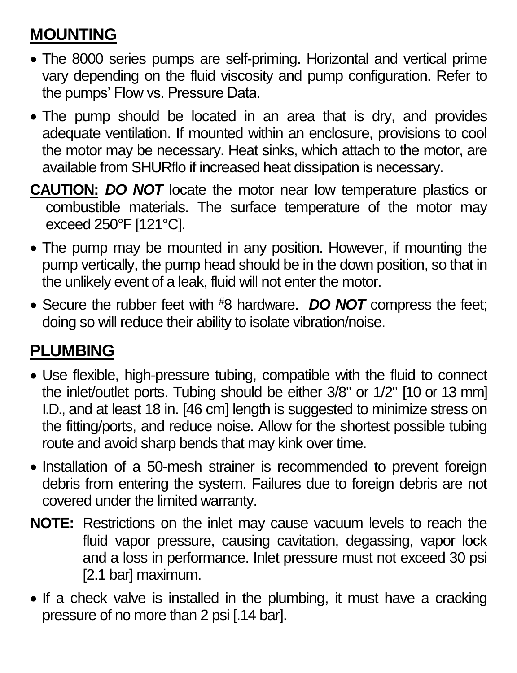## **MOUNTING**

- The 8000 series pumps are self-priming. Horizontal and vertical prime vary depending on the fluid viscosity and pump configuration. Refer to the pumps' Flow vs. Pressure Data.
- The pump should be located in an area that is dry, and provides adequate ventilation. If mounted within an enclosure, provisions to cool the motor may be necessary. Heat sinks, which attach to the motor, are available from SHURflo if increased heat dissipation is necessary.
- **CAUTION:** *DO NOT* locate the motor near low temperature plastics or combustible materials. The surface temperature of the motor may exceed 250°F [121°C].
- The pump may be mounted in any position. However, if mounting the pump vertically, the pump head should be in the down position, so that in the unlikely event of a leak, fluid will not enter the motor.
- Secure the rubber feet with #8 hardware. **DO NOT** compress the feet; doing so will reduce their ability to isolate vibration/noise.

## **PLUMBING**

- Use flexible, high-pressure tubing, compatible with the fluid to connect the inlet/outlet ports. Tubing should be either 3/8" or 1/2" [10 or 13 mm] I.D., and at least 18 in. [46 cm] length is suggested to minimize stress on the fitting/ports, and reduce noise. Allow for the shortest possible tubing route and avoid sharp bends that may kink over time.
- Installation of a 50-mesh strainer is recommended to prevent foreign debris from entering the system. Failures due to foreign debris are not covered under the limited warranty.
- **NOTE:** Restrictions on the inlet may cause vacuum levels to reach the fluid vapor pressure, causing cavitation, degassing, vapor lock and a loss in performance. Inlet pressure must not exceed 30 psi [2.1 bar] maximum.
- If a check valve is installed in the plumbing, it must have a cracking pressure of no more than 2 psi [.14 bar].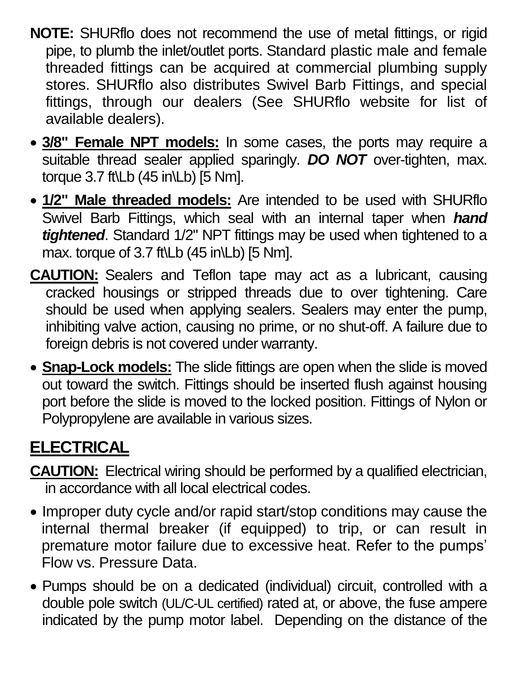- **NOTE:** SHURflo does not recommend the use of metal fittings, or rigid pipe, to plumb the inlet/outlet ports. Standard plastic male and female threaded fittings can be acquired at commercial plumbing supply stores. SHURflo also distributes Swivel Barb Fittings, and special fittings, through our dealers (See SHURflo website for list of available dealers).
- **3/8" Female NPT models:** In some cases, the ports may require a suitable thread sealer applied sparingly. *DO NOT* over-tighten, max. torque 3.7 ft\Lb (45 in\Lb) [5 Nm].
- **1/2" Male threaded models:** Are intended to be used with SHURflo Swivel Barb Fittings, which seal with an internal taper when *hand tightened*. Standard 1/2" NPT fittings may be used when tightened to a max. torque of 3.7 ft\Lb (45 in\Lb) [5 Nm].
- **CAUTION:** Sealers and Teflon tape may act as a lubricant, causing cracked housings or stripped threads due to over tightening. Care should be used when applying sealers. Sealers may enter the pump, inhibiting valve action, causing no prime, or no shut-off. A failure due to foreign debris is not covered under warranty.
- **Snap-Lock models:** The slide fittings are open when the slide is moved out toward the switch. Fittings should be inserted flush against housing port before the slide is moved to the locked position. Fittings of Nylon or Polypropylene are available in various sizes.

## **ELECTRICAL**

- **CAUTION:** Electrical wiring should be performed by a qualified electrician, in accordance with all local electrical codes.
- Improper duty cycle and/or rapid start/stop conditions may cause the internal thermal breaker (if equipped) to trip, or can result in premature motor failure due to excessive heat. Refer to the pumps' Flow vs. Pressure Data.
- Pumps should be on a dedicated (individual) circuit, controlled with a double pole switch (UL/C-UL certified) rated at, or above, the fuse ampere indicated by the pump motor label. Depending on the distance of the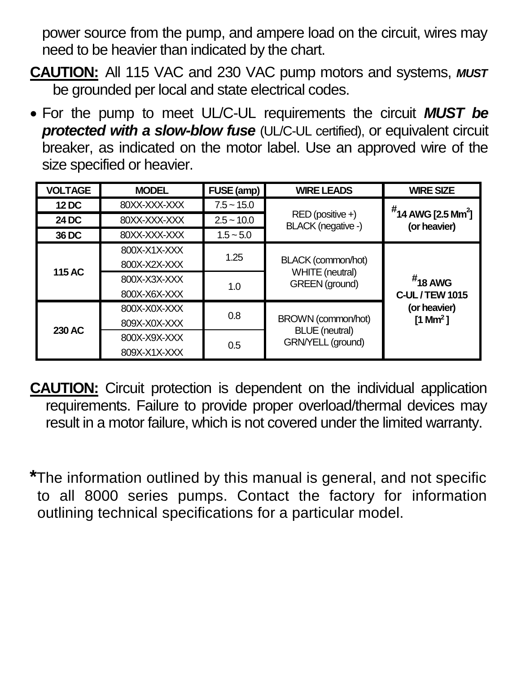power source from the pump, and ampere load on the circuit, wires may need to be heavier than indicated by the chart.

- **CAUTION:** All 115 VAC and 230 VAC pump motors and systems, *MUST* be grounded per local and state electrical codes.
- For the pump to meet UL/C-UL requirements the circuit *MUST be*  **protected with a slow-blow fuse** (UL/C-UL certified), or equivalent circuit breaker, as indicated on the motor label. Use an approved wire of the size specified or heavier.

| <b>VOLTAGE</b> | <b>MODEL</b> | FUSE (amp)   | <b>WIRE LEADS</b>                                                | <b>WIRE SIZE</b>                                                      |
|----------------|--------------|--------------|------------------------------------------------------------------|-----------------------------------------------------------------------|
| 12 DC          | 80XX-XXX-XXX | $7.5 - 15.0$ | RED (positive +)<br>BLACK (negative -)                           | $#$ 14 AWG [2.5 Mm <sup>2</sup> ]<br>(or heavier)                     |
| 24 DC          | 80XX-XXX-XXX | $2.5 - 10.0$ |                                                                  |                                                                       |
| 36 DC          | 80XX-XXX-XXX | $1.5 - 5.0$  |                                                                  |                                                                       |
| 115 AC         | 800X-X1X-XXX | 1.25         | BLACK (common/hot)<br>WHITE (neutral)<br><b>GREEN</b> (ground)   | $#$ 18 AWG<br>C-UL / TEW 1015<br>(or heavier)<br>[1 Mm <sup>2</sup> ] |
|                | 800X-X2X-XXX |              |                                                                  |                                                                       |
|                | 800X-X3X-XXX | 1.0          |                                                                  |                                                                       |
|                | 800X-X6X-XXX |              |                                                                  |                                                                       |
| 230 AC         | 800X-X0X-XXX | 0.8          | BROWN (common/hot)<br><b>BLUE</b> (neutral)<br>GRN/YELL (ground) |                                                                       |
|                | 809X-X0X-XXX |              |                                                                  |                                                                       |
|                | 800X-X9X-XXX | 0.5          |                                                                  |                                                                       |
|                | 809X-X1X-XXX |              |                                                                  |                                                                       |

**CAUTION:** Circuit protection is dependent on the individual application requirements. Failure to provide proper overload/thermal devices may result in a motor failure, which is not covered under the limited warranty.

**\***The information outlined by this manual is general, and not specific to all 8000 series pumps. Contact the factory for information outlining technical specifications for a particular model.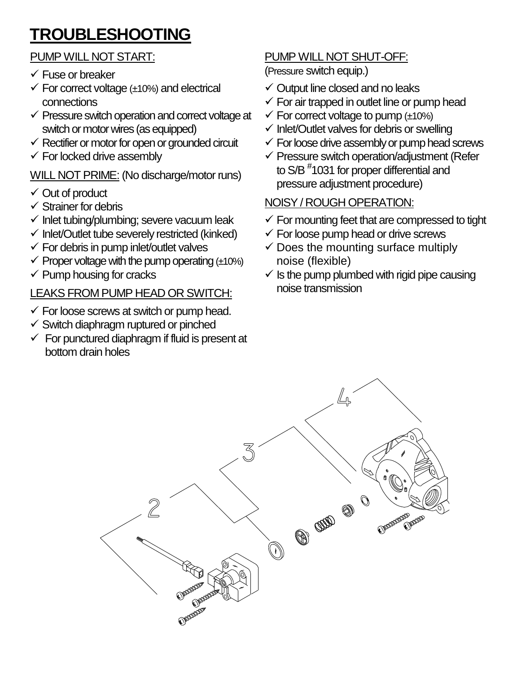## **TROUBLESHOOTING**

#### PUMP WILL NOT START:

- Fuse or breaker
- $\checkmark$  For correct voltage ( $\pm$ 10%) and electrical connections
- $\checkmark$  Pressure switch operation and correct voltage at switch or motor wires (as equipped)
- $\checkmark$  Rectifier or motor for open or grounded circuit
- $\checkmark$  For locked drive assembly

WILL NOT PRIME: (No discharge/motor runs)

- Out of product
- Strainer for debris
- $\checkmark$  Inlet tubing/plumbing; severe vacuum leak
- $\checkmark$  Inlet/Outlet tube severely restricted (kinked)
- $\checkmark$  For debris in pump inlet/outlet valves
- $\checkmark$  Proper voltage with the pump operating ( $\pm$ 10%)
- $\checkmark$  Pump housing for cracks

#### LEAKS FROM PUMP HEAD OR SWITCH:

- $\checkmark$  For loose screws at switch or pump head.
- $\checkmark$  Switch diaphragm ruptured or pinched
- $\checkmark$  For punctured diaphragm if fluid is present at bottom drain holes

### PUMP WILL NOT SHUT-OFF:

(Pressure switch equip.)

- $\checkmark$  Output line closed and no leaks
- $\checkmark$  For air trapped in outlet line or pump head
- $\checkmark$  For correct voltage to pump ( $\pm$ 10%)
- $\checkmark$  Inlet/Outlet valves for debris or swelling
- $\checkmark$  For loose drive assembly or pump head screws
- $\checkmark$  Pressure switch operation/adjustment (Refer to S/B # 1031 for proper differential and pressure adjustment procedure)

### NOISY / ROUGH OPERATION:

- $\checkmark$  For mounting feet that are compressed to tight
- $\checkmark$  For loose pump head or drive screws
- $\checkmark$  Does the mounting surface multiply noise (flexible)
- $\checkmark$  is the pump plumbed with rigid pipe causing noise transmission

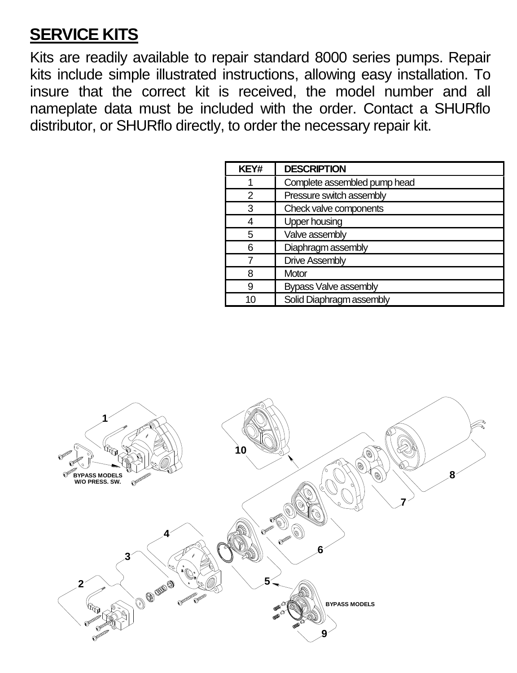### **SERVICE KITS**

Kits are readily available to repair standard 8000 series pumps. Repair kits include simple illustrated instructions, allowing easy installation. To insure that the correct kit is received, the model number and all nameplate data must be included with the order. Contact a SHURflo distributor, or SHURflo directly, to order the necessary repair kit.

| KEY# | <b>DESCRIPTION</b>           |  |
|------|------------------------------|--|
|      | Complete assembled pump head |  |
| 2    | Pressure switch assembly     |  |
| 3    | Check valve components       |  |
|      | <b>Upper housing</b>         |  |
| 5    | Valve assembly               |  |
| 6    | Diaphragm assembly           |  |
|      | Drive Assembly               |  |
| я    | Motor                        |  |
| 9    | <b>Bypass Valve assembly</b> |  |
| 10   | Solid Diaphragm assembly     |  |